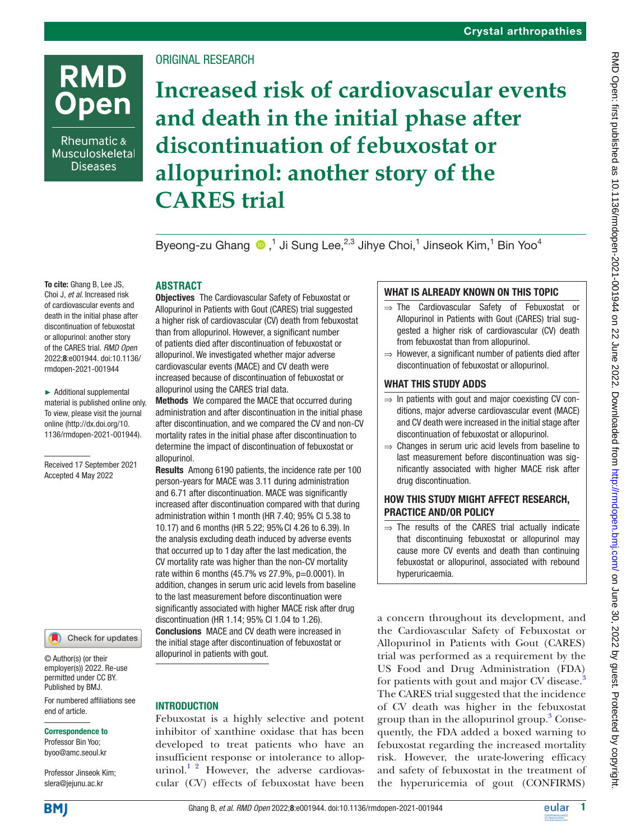# **RMD Open**

Rheumatic & Musculoskeletal **Diseases** 

## ORIGINAL RESEARCH

## **Increased risk of cardiovascular events and death in the initial phase after discontinuation of febuxostat or allopurinol: another story of the CARES trial**

Byeong-zuGhang  $\bigcirc$ ,<sup>1</sup> Ji Sung Lee,<sup>2,3</sup> Jihye Choi,<sup>1</sup> Jinseok Kim,<sup>1</sup> Bin Yoo<sup>4</sup>

#### To cite: Ghang B, Lee JS, Choi J, *et al*. Increased risk of cardiovascular events and death in the initial phase after discontinuation of febuxostat or allopurinol: another story of the CARES trial. *RMD Open* 2022;8:e001944. doi:10.1136/ rmdopen-2021-001944

► Additional supplemental material is published online only. To view, please visit the journal online ([http://dx.doi.org/10.](http://dx.doi.org/10.1136/rmdopen-2021-001944) [1136/rmdopen-2021-001944\)](http://dx.doi.org/10.1136/rmdopen-2021-001944).

Received 17 September 2021 Accepted 4 May 2022

Check for updates

© Author(s) (or their employer(s)) 2022. Re-use permitted under CC BY. Published by BMJ.

For numbered affiliations see end of article.

#### Correspondence to

Professor Bin Yoo; byoo@amc.seoul.kr

Professor Jinseok Kim; slera@jejunu.ac.kr

**BM** 

## **ABSTRACT**

Objectives The Cardiovascular Safety of Febuxostat or Allopurinol in Patients with Gout (CARES) trial suggested a higher risk of cardiovascular (CV) death from febuxostat than from allopurinol. However, a significant number of patients died after discontinuation of febuxostat or allopurinol. We investigated whether major adverse cardiovascular events (MACE) and CV death were increased because of discontinuation of febuxostat or allopurinol using the CARES trial data.

Methods We compared the MACE that occurred during administration and after discontinuation in the initial phase after discontinuation, and we compared the CV and non-CV mortality rates in the initial phase after discontinuation to determine the impact of discontinuation of febuxostat or allopurinol.

Results Among 6190 patients, the incidence rate per 100 person-years for MACE was 3.11 during administration and 6.71 after discontinuation. MACE was significantly increased after discontinuation compared with that during administration within 1month (HR 7.40; 95% CI 5.38 to 10.17) and 6 months (HR 5.22; 95%CI 4.26 to 6.39). In the analysis excluding death induced by adverse events that occurred up to 1 day after the last medication, the CV mortality rate was higher than the non-CV mortality rate within 6 months (45.7% vs 27.9%, p=0.0001). In addition, changes in serum uric acid levels from baseline to the last measurement before discontinuation were significantly associated with higher MACE risk after drug discontinuation (HR 1.14; 95% CI 1.04 to 1.26). Conclusions MACE and CV death were increased in the initial stage after discontinuation of febuxostat or allopurinol in patients with gout.

## INTRODUCTION

Febuxostat is a highly selective and potent inhibitor of xanthine oxidase that has been developed to treat patients who have an insufficient response or intolerance to allopurinol. $1^2$  However, the adverse cardiovascular (CV) effects of febuxostat have been

## WHAT IS ALREADY KNOWN ON THIS TOPIC

- ⇒ The Cardiovascular Safety of Febuxostat or Allopurinol in Patients with Gout (CARES) trial suggested a higher risk of cardiovascular (CV) death from febuxostat than from allopurinol.
- $\Rightarrow$  However, a significant number of patients died after discontinuation of febuxostat or allopurinol.

## WHAT THIS STUDY ADDS

- ⇒ In patients with gout and major coexisting CV conditions, major adverse cardiovascular event (MACE) and CV death were increased in the initial stage after discontinuation of febuxostat or allopurinol.
- $\Rightarrow$  Changes in serum uric acid levels from baseline to last measurement before discontinuation was significantly associated with higher MACE risk after drug discontinuation.

## HOW THIS STUDY MIGHT AFFECT RESEARCH, PRACTICE AND/OR POLICY

 $\Rightarrow$  The results of the CARES trial actually indicate that discontinuing febuxostat or allopurinol may cause more CV events and death than continuing febuxostat or allopurinol, associated with rebound hyperuricaemia.

a concern throughout its development, and the Cardiovascular Safety of Febuxostat or Allopurinol in Patients with Gout (CARES) trial was performed as a requirement by the US Food and Drug Administration (FDA) for patients with gout and major CV disease.<sup>[3](#page-8-1)</sup> The CARES trial suggested that the incidence of CV death was higher in the febuxostat group than in the allopurinol group.<sup>[3](#page-8-1)</sup> Consequently, the FDA added a boxed warning to febuxostat regarding the increased mortality risk. However, the urate-lowering efficacy and safety of febuxostat in the treatment of the hyperuricemia of gout (CONFIRMS)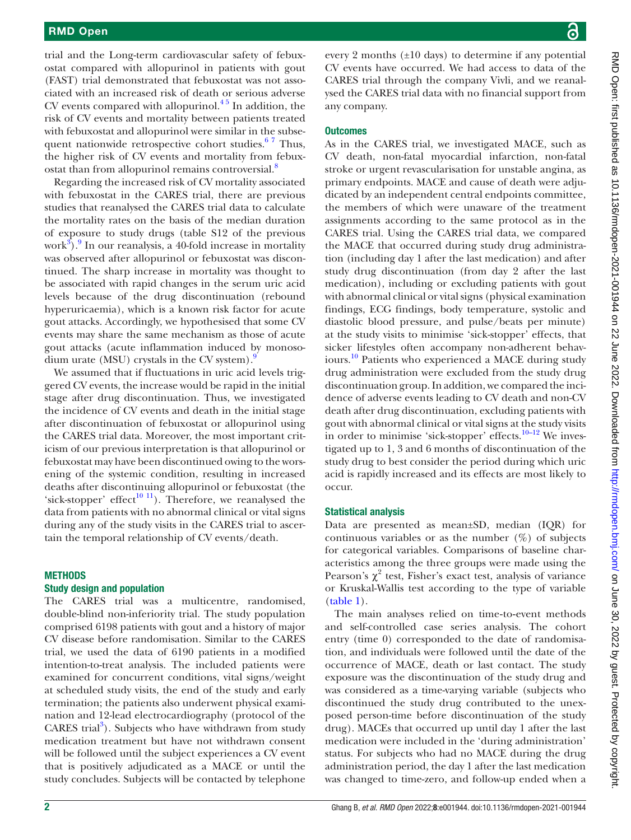trial and the Long-term cardiovascular safety of febuxostat compared with allopurinol in patients with gout (FAST) trial demonstrated that febuxostat was not associated with an increased risk of death or serious adverse CV events compared with allopurinol. $45$  In addition, the risk of CV events and mortality between patients treated with febuxostat and allopurinol were similar in the subsequent nationwide retrospective cohort studies. $67$  Thus, the higher risk of CV events and mortality from febuxostat than from allopurinol remains controversial.<sup>8</sup>

Regarding the increased risk of CV mortality associated with febuxostat in the CARES trial, there are previous studies that reanalysed the CARES trial data to calculate the mortality rates on the basis of the median duration of exposure to study drugs (table S12 of the previous work $^{3}$ ). In our reanalysis, a 40-fold increase in mortality was observed after allopurinol or febuxostat was discontinued. The sharp increase in mortality was thought to be associated with rapid changes in the serum uric acid levels because of the drug discontinuation (rebound hyperuricaemia), which is a known risk factor for acute gout attacks. Accordingly, we hypothesised that some CV events may share the same mechanism as those of acute gout attacks (acute inflammation induced by monosodium urate (MSU) crystals in the CV system). $\frac{9}{2}$ 

We assumed that if fluctuations in uric acid levels triggered CV events, the increase would be rapid in the initial stage after drug discontinuation. Thus, we investigated the incidence of CV events and death in the initial stage after discontinuation of febuxostat or allopurinol using the CARES trial data. Moreover, the most important criticism of our previous interpretation is that allopurinol or febuxostat may have been discontinued owing to the worsening of the systemic condition, resulting in increased deaths after discontinuing allopurinol or febuxostat (the 'sick-stopper' effect<sup>10 11</sup>). Therefore, we reanalysed the data from patients with no abnormal clinical or vital signs during any of the study visits in the CARES trial to ascertain the temporal relationship of CV events/death.

#### **METHODS**

#### Study design and population

The CARES trial was a multicentre, randomised, double-blind non-inferiority trial. The study population comprised 6198 patients with gout and a history of major CV disease before randomisation. Similar to the CARES trial, we used the data of 6190 patients in a modified intention-to-treat analysis. The included patients were examined for concurrent conditions, vital signs/weight at scheduled study visits, the end of the study and early termination; the patients also underwent physical examination and 12-lead electrocardiography (protocol of the CARES trial<sup>[3](#page-8-1)</sup>). Subjects who have withdrawn from study medication treatment but have not withdrawn consent will be followed until the subject experiences a CV event that is positively adjudicated as a MACE or until the study concludes. Subjects will be contacted by telephone

every 2 months  $(\pm 10 \text{ days})$  to determine if any potential CV events have occurred. We had access to data of the CARES trial through the company Vivli, and we reanalysed the CARES trial data with no financial support from any company.

#### **Outcomes**

As in the CARES trial, we investigated MACE, such as CV death, non-fatal myocardial infarction, non-fatal stroke or urgent revascularisation for unstable angina, as primary endpoints. MACE and cause of death were adjudicated by an independent central endpoints committee, the members of which were unaware of the treatment assignments according to the same protocol as in the CARES trial. Using the CARES trial data, we compared the MACE that occurred during study drug administration (including day 1 after the last medication) and after study drug discontinuation (from day 2 after the last medication), including or excluding patients with gout with abnormal clinical or vital signs (physical examination findings, ECG findings, body temperature, systolic and diastolic blood pressure, and pulse/beats per minute) at the study visits to minimise 'sick-stopper' effects, that sicker lifestyles often accompany non-adherent behaviours[.10](#page-8-6) Patients who experienced a MACE during study drug administration were excluded from the study drug discontinuation group. In addition, we compared the incidence of adverse events leading to CV death and non-CV death after drug discontinuation, excluding patients with gout with abnormal clinical or vital signs at the study visits in order to minimise 'sick-stopper' effects.<sup>10–12</sup> We investigated up to 1, 3 and 6 months of discontinuation of the study drug to best consider the period during which uric acid is rapidly increased and its effects are most likely to occur.

#### Statistical analysis

Data are presented as mean±SD, median (IQR) for continuous variables or as the number  $(\%)$  of subjects for categorical variables. Comparisons of baseline characteristics among the three groups were made using the Pearson's  $\chi^2$  test, Fisher's exact test, analysis of variance or Kruskal-Wallis test according to the type of variable [\(table](#page-2-0) 1).

The main analyses relied on time‐to‐event methods and self-controlled case series analysis. The cohort entry (time 0) corresponded to the date of randomisation, and individuals were followed until the date of the occurrence of MACE, death or last contact. The study exposure was the discontinuation of the study drug and was considered as a time-varying variable (subjects who discontinued the study drug contributed to the unexposed person-time before discontinuation of the study drug). MACEs that occurred up until day 1 after the last medication were included in the 'during administration' status. For subjects who had no MACE during the drug administration period, the day 1 after the last medication was changed to time-zero, and follow-up ended when a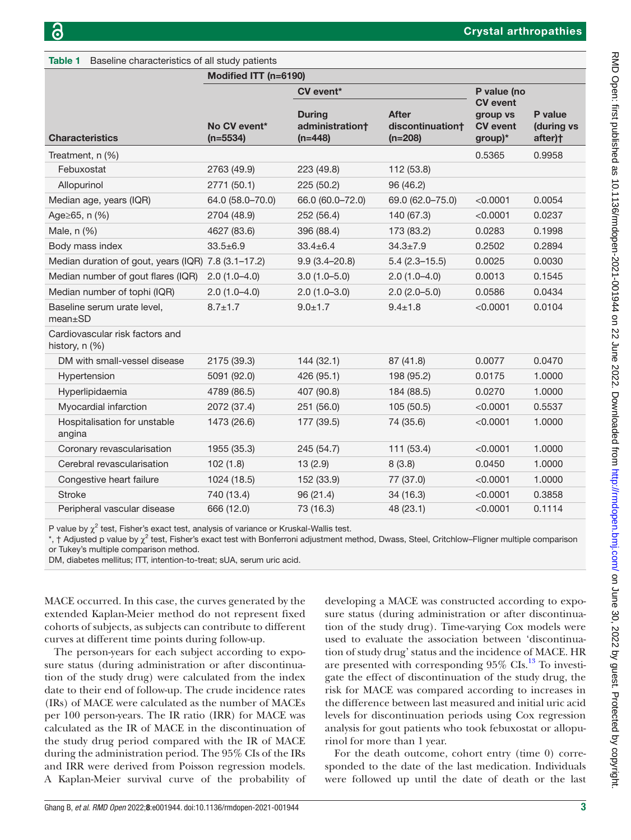<span id="page-2-0"></span>Table 1 Baseline characteristics of all study patients

|                                                     | Modified ITT (n=6190)      |                                               |                                               |                                                              |                                  |  |  |
|-----------------------------------------------------|----------------------------|-----------------------------------------------|-----------------------------------------------|--------------------------------------------------------------|----------------------------------|--|--|
|                                                     |                            | <b>CV</b> event*                              | P value (no                                   |                                                              |                                  |  |  |
| <b>Characteristics</b>                              | No CV event*<br>$(n=5534)$ | <b>During</b><br>administration†<br>$(n=448)$ | <b>After</b><br>discontinuation†<br>$(n=208)$ | <b>CV</b> event<br>group vs<br><b>CV</b> event<br>$group)^*$ | P value<br>(during vs<br>after)+ |  |  |
| Treatment, n (%)                                    |                            |                                               |                                               | 0.5365                                                       | 0.9958                           |  |  |
| Febuxostat                                          | 2763 (49.9)                | 223 (49.8)                                    | 112 (53.8)                                    |                                                              |                                  |  |  |
| Allopurinol                                         | 2771 (50.1)                | 225 (50.2)                                    | 96 (46.2)                                     |                                                              |                                  |  |  |
| Median age, years (IQR)                             | 64.0 (58.0-70.0)           | 66.0 (60.0-72.0)                              | 69.0 (62.0-75.0)                              | < 0.0001                                                     | 0.0054                           |  |  |
| Age≥65, n (%)                                       | 2704 (48.9)                | 252 (56.4)                                    | 140 (67.3)                                    | < 0.0001                                                     | 0.0237                           |  |  |
| Male, n (%)                                         | 4627 (83.6)                | 396 (88.4)                                    | 173 (83.2)                                    | 0.0283                                                       | 0.1998                           |  |  |
| Body mass index                                     | $33.5 \pm 6.9$             | $33.4 \pm 6.4$                                | $34.3 \pm 7.9$                                | 0.2502                                                       | 0.2894                           |  |  |
| Median duration of gout, years (IQR) 7.8 (3.1-17.2) |                            | $9.9(3.4 - 20.8)$                             | $5.4(2.3 - 15.5)$                             | 0.0025                                                       | 0.0030                           |  |  |
| Median number of gout flares (IQR)                  | $2.0(1.0-4.0)$             | $3.0(1.0 - 5.0)$                              | $2.0(1.0-4.0)$                                | 0.0013                                                       | 0.1545                           |  |  |
| Median number of tophi (IQR)                        | $2.0(1.0-4.0)$             | $2.0(1.0-3.0)$                                | $2.0(2.0-5.0)$                                | 0.0586                                                       | 0.0434                           |  |  |
| Baseline serum urate level,<br>mean <sub>±</sub> SD | $8.7 \pm 1.7$              | $9.0 + 1.7$                                   | $9.4 \pm 1.8$                                 | < 0.0001                                                     | 0.0104                           |  |  |
| Cardiovascular risk factors and<br>history, n (%)   |                            |                                               |                                               |                                                              |                                  |  |  |
| DM with small-vessel disease                        | 2175 (39.3)                | 144 (32.1)                                    | 87 (41.8)                                     | 0.0077                                                       | 0.0470                           |  |  |
| Hypertension                                        | 5091 (92.0)                | 426 (95.1)                                    | 198 (95.2)                                    | 0.0175                                                       | 1.0000                           |  |  |
| Hyperlipidaemia                                     | 4789 (86.5)                | 407 (90.8)                                    | 184 (88.5)                                    | 0.0270                                                       | 1.0000                           |  |  |
| Myocardial infarction                               | 2072 (37.4)                | 251 (56.0)                                    | 105 (50.5)                                    | < 0.0001                                                     | 0.5537                           |  |  |
| Hospitalisation for unstable<br>angina              | 1473 (26.6)                | 177 (39.5)                                    | 74 (35.6)                                     | < 0.0001                                                     | 1.0000                           |  |  |
| Coronary revascularisation                          | 1955 (35.3)                | 245 (54.7)                                    | 111 (53.4)                                    | < 0.0001                                                     | 1.0000                           |  |  |
| Cerebral revascularisation                          | 102(1.8)                   | 13(2.9)                                       | 8(3.8)                                        | 0.0450                                                       | 1.0000                           |  |  |
| Congestive heart failure                            | 1024 (18.5)                | 152 (33.9)                                    | 77 (37.0)                                     | < 0.0001                                                     | 1.0000                           |  |  |
| <b>Stroke</b>                                       | 740 (13.4)                 | 96 (21.4)                                     | 34 (16.3)                                     | < 0.0001                                                     | 0.3858                           |  |  |
| Peripheral vascular disease                         | 666 (12.0)                 | 73 (16.3)                                     | 48 (23.1)                                     | < 0.0001                                                     | 0.1114                           |  |  |

P value by  $\chi^2$  test, Fisher's exact test, analysis of variance or Kruskal-Wallis test.

\*, † Adjusted p value by  $\chi^2$  test, Fisher's exact test with Bonferroni adjustment method, Dwass, Steel, Critchlow–Fligner multiple comparison or Tukey's multiple comparison method.

DM, diabetes mellitus; ITT, intention-to-treat; sUA, serum uric acid.

MACE occurred. In this case, the curves generated by the extended Kaplan-Meier method do not represent fixed cohorts of subjects, as subjects can contribute to different curves at different time points during follow-up.

The person-years for each subject according to exposure status (during administration or after discontinuation of the study drug) were calculated from the index date to their end of follow-up. The crude incidence rates (IRs) of MACE were calculated as the number of MACEs per 100 person-years. The IR ratio (IRR) for MACE was calculated as the IR of MACE in the discontinuation of the study drug period compared with the IR of MACE during the administration period. The 95% CIs of the IRs and IRR were derived from Poisson regression models. A Kaplan-Meier survival curve of the probability of

developing a MACE was constructed according to exposure status (during administration or after discontinuation of the study drug). Time-varying Cox models were used to evaluate the association between 'discontinuation of study drug' status and the incidence of MACE. HR are presented with corresponding  $95\%$  CIs.<sup>13</sup> To investigate the effect of discontinuation of the study drug, the risk for MACE was compared according to increases in the difference between last measured and initial uric acid levels for discontinuation periods using Cox regression analysis for gout patients who took febuxostat or allopurinol for more than 1 year.

For the death outcome, cohort entry (time 0) corresponded to the date of the last medication. Individuals were followed up until the date of death or the last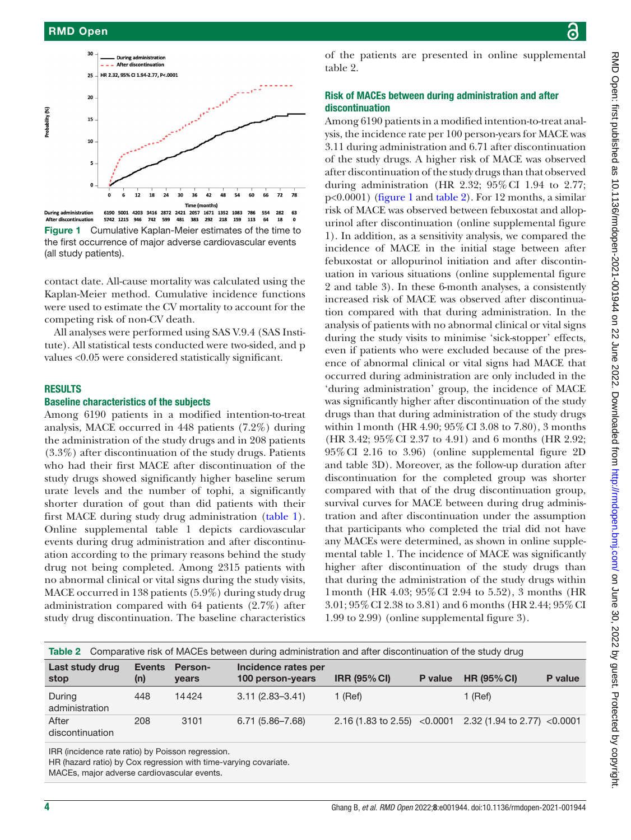

<span id="page-3-0"></span>**During administration** 6190 5001 4203 3416 2872 2421 2057 1671 1352 63 1083 786 554 282 After discontinuation 5742 1215 946 742 599 481 383 292 218 159 113 64 18  $\mathbf{a}$ Figure 1 Cumulative Kaplan-Meier estimates of the time to the first occurrence of major adverse cardiovascular events (all study patients).

contact date. All-cause mortality was calculated using the Kaplan-Meier method. Cumulative incidence functions were used to estimate the CV mortality to account for the competing risk of non-CV death.

All analyses were performed using SAS V.9.4 (SAS Institute). All statistical tests conducted were two-sided, and p values <0.05 were considered statistically significant.

#### RESULTS

#### Baseline characteristics of the subjects

Among 6190 patients in a modified intention-to-treat analysis, MACE occurred in 448 patients (7.2%) during the administration of the study drugs and in 208 patients (3.3%) after discontinuation of the study drugs. Patients who had their first MACE after discontinuation of the study drugs showed significantly higher baseline serum urate levels and the number of tophi, a significantly shorter duration of gout than did patients with their first MACE during study drug administration [\(table](#page-2-0) 1). [Online supplemental table 1](https://dx.doi.org/10.1136/rmdopen-2021-001944) depicts cardiovascular events during drug administration and after discontinuation according to the primary reasons behind the study drug not being completed. Among 2315 patients with no abnormal clinical or vital signs during the study visits, MACE occurred in 138 patients (5.9%) during study drug administration compared with 64 patients (2.7%) after study drug discontinuation. The baseline characteristics

of the patients are presented in [online supplemental](https://dx.doi.org/10.1136/rmdopen-2021-001944) [table 2](https://dx.doi.org/10.1136/rmdopen-2021-001944).

## Risk of MACEs between during administration and after discontinuation

Among 6190 patients in a modified intention-to-treat analysis, the incidence rate per 100 person-years for MACE was 3.11 during administration and 6.71 after discontinuation of the study drugs. A higher risk of MACE was observed after discontinuation of the study drugs than that observed during administration (HR 2.32; 95%CI 1.94 to 2.77; p<0.0001) [\(figure](#page-3-0) 1 and [table](#page-3-1) 2). For 12 months, a similar risk of MACE was observed between febuxostat and allopurinol after discontinuation ([online supplemental figure](https://dx.doi.org/10.1136/rmdopen-2021-001944) [1](https://dx.doi.org/10.1136/rmdopen-2021-001944)). In addition, as a sensitivity analysis, we compared the incidence of MACE in the initial stage between after febuxostat or allopurinol initiation and after discontinuation in various situations ([online supplemental figure](https://dx.doi.org/10.1136/rmdopen-2021-001944) [2 and table 3](https://dx.doi.org/10.1136/rmdopen-2021-001944)). In these 6-month analyses, a consistently increased risk of MACE was observed after discontinuation compared with that during administration. In the analysis of patients with no abnormal clinical or vital signs during the study visits to minimise 'sick-stopper' effects, even if patients who were excluded because of the presence of abnormal clinical or vital signs had MACE that occurred during administration are only included in the 'during administration' group, the incidence of MACE was significantly higher after discontinuation of the study drugs than that during administration of the study drugs within 1month (HR 4.90; 95%CI 3.08 to 7.80), 3 months (HR 3.42; 95%CI 2.37 to 4.91) and 6 months (HR 2.92; 95%CI 2.16 to 3.96) [\(online supplemental figure 2D](https://dx.doi.org/10.1136/rmdopen-2021-001944) [and table 3D](https://dx.doi.org/10.1136/rmdopen-2021-001944)). Moreover, as the follow-up duration after discontinuation for the completed group was shorter compared with that of the drug discontinuation group, survival curves for MACE between during drug administration and after discontinuation under the assumption that participants who completed the trial did not have any MACEs were determined, as shown in [online supple](https://dx.doi.org/10.1136/rmdopen-2021-001944)[mental table 1.](https://dx.doi.org/10.1136/rmdopen-2021-001944) The incidence of MACE was significantly higher after discontinuation of the study drugs than that during the administration of the study drugs within 1month (HR 4.03; 95%CI 2.94 to 5.52), 3 months (HR 3.01; 95%CI 2.38 to 3.81) and 6 months (HR 2.44; 95%CI 1.99 to 2.99) ([online supplemental figure 3\)](https://dx.doi.org/10.1136/rmdopen-2021-001944).

<span id="page-3-1"></span>

| Comparative risk of MACEs between during administration and after discontinuation of the study drug<br>Table 2 |                      |                                |                                         |                                   |         |                                       |         |
|----------------------------------------------------------------------------------------------------------------|----------------------|--------------------------------|-----------------------------------------|-----------------------------------|---------|---------------------------------------|---------|
| Last study drug<br>stop                                                                                        | <b>Events</b><br>(n) | <b>Person-</b><br><b>vears</b> | Incidence rates per<br>100 person-years | <b>IRR (95% CI)</b>               | P value | <b>HR (95% CI)</b>                    | P value |
| During<br>administration                                                                                       | 448                  | 14424                          | $3.11(2.83 - 3.41)$                     | 1 (Ref)                           |         | $1$ (Ref)                             |         |
| After<br>discontinuation                                                                                       | 208                  | 3101                           | $6.71(5.86 - 7.68)$                     | 2.16 (1.83 to 2.55) $\leq$ 0.0001 |         | $2.32(1.94 \text{ to } 2.77)$ <0.0001 |         |

IRR (incidence rate ratio) by Poisson regression.

HR (hazard ratio) by Cox regression with time-varying covariate.

MACEs, major adverse cardiovascular events.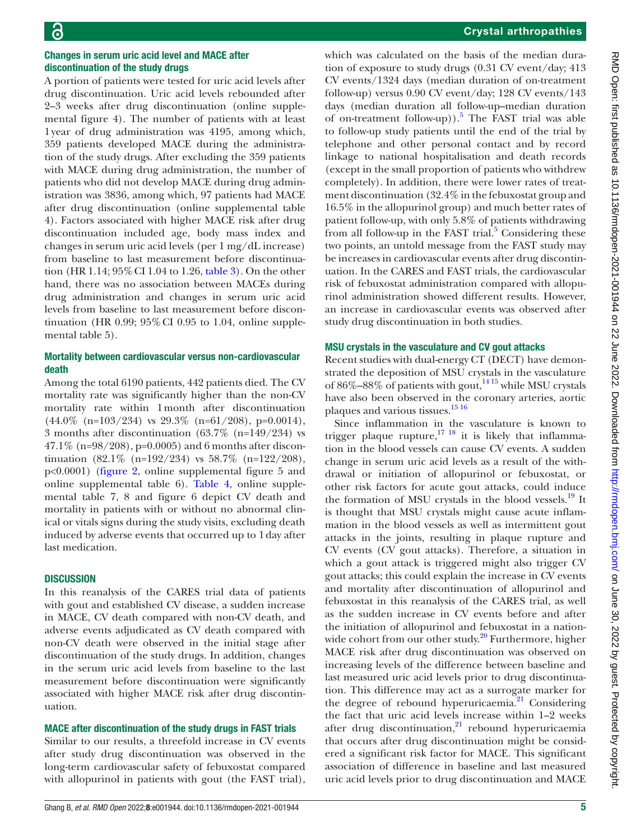## Changes in serum uric acid level and MACE after discontinuation of the study drugs

A portion of patients were tested for uric acid levels after drug discontinuation. Uric acid levels rebounded after 2–3 weeks after drug discontinuation ([online supple](https://dx.doi.org/10.1136/rmdopen-2021-001944)[mental figure 4\)](https://dx.doi.org/10.1136/rmdopen-2021-001944). The number of patients with at least 1year of drug administration was 4195, among which, 359 patients developed MACE during the administration of the study drugs. After excluding the 359 patients with MACE during drug administration, the number of patients who did not develop MACE during drug administration was 3836, among which, 97 patients had MACE after drug discontinuation [\(online supplemental table](https://dx.doi.org/10.1136/rmdopen-2021-001944) [4](https://dx.doi.org/10.1136/rmdopen-2021-001944)). Factors associated with higher MACE risk after drug discontinuation included age, body mass index and changes in serum uric acid levels (per 1 mg/dL increase) from baseline to last measurement before discontinuation (HR 1.14; 95%CI 1.04 to 1.26, [table](#page-5-0) 3). On the other hand, there was no association between MACEs during drug administration and changes in serum uric acid levels from baseline to last measurement before discontinuation (HR 0.99;  $95\%$  CI 0.95 to 1.04, [online supple](https://dx.doi.org/10.1136/rmdopen-2021-001944)[mental table 5](https://dx.doi.org/10.1136/rmdopen-2021-001944)).

#### Mortality between cardiovascular versus non-cardiovascular death

Among the total 6190 patients, 442 patients died. The CV mortality rate was significantly higher than the non-CV mortality rate within 1month after discontinuation  $(44.0\% \text{ (n=103/234) vs } 29.3\% \text{ (n=61/208), p=0.0014)}$ , 3 months after discontinuation (63.7% (n=149/234) vs 47.1% (n=98/208), p=0.0005) and 6 months after discontinuation  $(82.1\% \text{ (n=192/234) vs } 58.7\% \text{ (n=122/208)}),$ p<0.0001) ([figure](#page-6-0) 2, [online supplemental figure 5](https://dx.doi.org/10.1136/rmdopen-2021-001944) and [online supplemental table 6\)](https://dx.doi.org/10.1136/rmdopen-2021-001944). [Table](#page-7-0) 4, [online supple](https://dx.doi.org/10.1136/rmdopen-2021-001944)[mental table 7, 8 and figure 6](https://dx.doi.org/10.1136/rmdopen-2021-001944) depict CV death and mortality in patients with or without no abnormal clinical or vitals signs during the study visits, excluding death induced by adverse events that occurred up to 1day after last medication.

#### **DISCUSSION**

In this reanalysis of the CARES trial data of patients with gout and established CV disease, a sudden increase in MACE, CV death compared with non-CV death, and adverse events adjudicated as CV death compared with non-CV death were observed in the initial stage after discontinuation of the study drugs. In addition, changes in the serum uric acid levels from baseline to the last measurement before discontinuation were significantly associated with higher MACE risk after drug discontinuation.

## MACE after discontinuation of the study drugs in FAST trials

Similar to our results, a threefold increase in CV events after study drug discontinuation was observed in the long-term cardiovascular safety of febuxostat compared with allopurinol in patients with gout (the FAST trial),

## Crystal arthropathies

which was calculated on the basis of the median duration of exposure to study drugs (0.31 CV event/day; 413 CV events/1324 days (median duration of on-treatment follow-up) versus 0.90 CV event/day; 128 CV events/143 days (median duration all follow-up–median duration of on-treatment follow-up)).<sup>5</sup> The FAST trial was able to follow-up study patients until the end of the trial by telephone and other personal contact and by record linkage to national hospitalisation and death records (except in the small proportion of patients who withdrew completely). In addition, there were lower rates of treatment discontinuation (32.4% in the febuxostat group and 16.5% in the allopurinol group) and much better rates of patient follow-up, with only 5.8% of patients withdrawing from all follow-up in the FAST trial. $5$  Considering these two points, an untold message from the FAST study may be increases in cardiovascular events after drug discontinuation. In the CARES and FAST trials, the cardiovascular risk of febuxostat administration compared with allopurinol administration showed different results. However, an increase in cardiovascular events was observed after study drug discontinuation in both studies.

## MSU crystals in the vasculature and CV gout attacks

Recent studies with dual-energy CT (DECT) have demonstrated the deposition of MSU crystals in the vasculature of  $86\% - 88\%$  of patients with gout,  $1415$  while MSU crystals have also been observed in the coronary arteries, aortic plaques and various tissues.<sup>[15 16](#page-8-10)</sup>

Since inflammation in the vasculature is known to trigger plaque rupture, $17 \frac{18}{18}$  it is likely that inflammation in the blood vessels can cause CV events. A sudden change in serum uric acid levels as a result of the withdrawal or initiation of allopurinol or febuxostat, or other risk factors for acute gout attacks, could induce the formation of MSU crystals in the blood vessels.<sup>19</sup> It is thought that MSU crystals might cause acute inflammation in the blood vessels as well as intermittent gout attacks in the joints, resulting in plaque rupture and CV events (CV gout attacks). Therefore, a situation in which a gout attack is triggered might also trigger CV gout attacks; this could explain the increase in CV events and mortality after discontinuation of allopurinol and febuxostat in this reanalysis of the CARES trial, as well as the sudden increase in CV events before and after the initiation of allopurinol and febuxostat in a nationwide cohort from our other study. $20$  Furthermore, higher MACE risk after drug discontinuation was observed on increasing levels of the difference between baseline and last measured uric acid levels prior to drug discontinuation. This difference may act as a surrogate marker for the degree of rebound hyperuricaemia.<sup>21</sup> Considering the fact that uric acid levels increase within 1–2 weeks after drug discontinuation, $21$  rebound hyperuricaemia that occurs after drug discontinuation might be considered a significant risk factor for MACE. This significant association of difference in baseline and last measured uric acid levels prior to drug discontinuation and MACE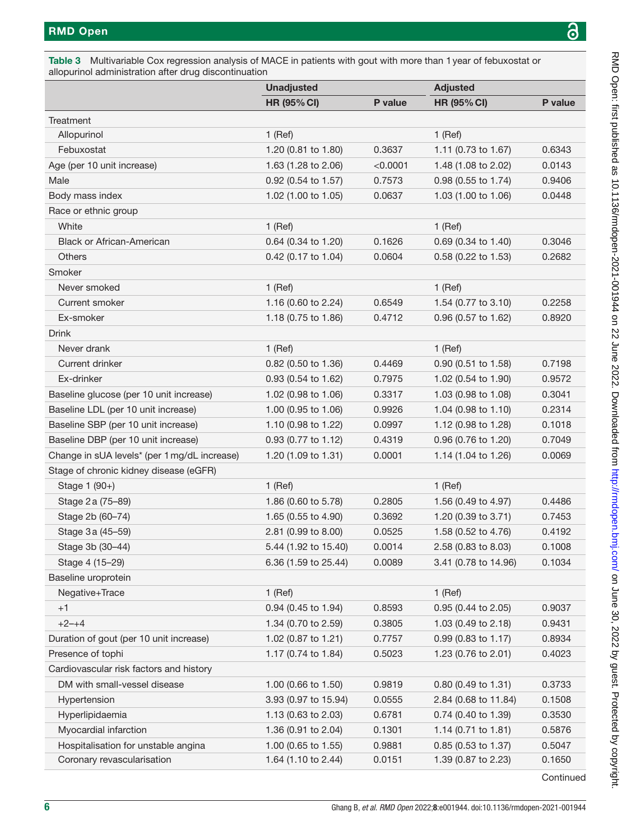<span id="page-5-0"></span>

| Table 3 Multivariable Cox regression analysis of MACE in patients with gout with more than 1 year of febuxostat or |
|--------------------------------------------------------------------------------------------------------------------|
| allopurinol administration after drug discontinuation                                                              |

|                                              | <b>Unadjusted</b>     |          | <b>Adjusted</b>       |         |  |
|----------------------------------------------|-----------------------|----------|-----------------------|---------|--|
|                                              | <b>HR (95% CI)</b>    | P value  | <b>HR (95% CI)</b>    | P value |  |
| Treatment                                    |                       |          |                       |         |  |
| Allopurinol                                  | $1$ (Ref)             |          | $1$ (Ref)             |         |  |
| Febuxostat                                   | 1.20 (0.81 to 1.80)   | 0.3637   | 1.11 (0.73 to 1.67)   | 0.6343  |  |
| Age (per 10 unit increase)                   | 1.63 (1.28 to 2.06)   | < 0.0001 | 1.48 (1.08 to 2.02)   | 0.0143  |  |
| Male                                         | 0.92 (0.54 to 1.57)   | 0.7573   | 0.98 (0.55 to 1.74)   | 0.9406  |  |
| Body mass index                              | 1.02 (1.00 to 1.05)   | 0.0637   | 1.03 (1.00 to 1.06)   | 0.0448  |  |
| Race or ethnic group                         |                       |          |                       |         |  |
| White                                        | $1$ (Ref)             |          | $1$ (Ref)             |         |  |
| <b>Black or African-American</b>             | 0.64 (0.34 to 1.20)   | 0.1626   | 0.69 (0.34 to 1.40)   | 0.3046  |  |
| <b>Others</b>                                | 0.42 (0.17 to 1.04)   | 0.0604   | 0.58 (0.22 to 1.53)   | 0.2682  |  |
| Smoker                                       |                       |          |                       |         |  |
| Never smoked                                 | $1$ (Ref)             |          | $1$ (Ref)             |         |  |
| Current smoker                               | 1.16 (0.60 to 2.24)   | 0.6549   | 1.54 (0.77 to 3.10)   | 0.2258  |  |
| Ex-smoker                                    | 1.18 (0.75 to 1.86)   | 0.4712   | 0.96 (0.57 to 1.62)   | 0.8920  |  |
| <b>Drink</b>                                 |                       |          |                       |         |  |
| Never drank                                  | $1$ (Ref)             |          | $1$ (Ref)             |         |  |
| Current drinker                              | 0.82 (0.50 to 1.36)   | 0.4469   | $0.90$ (0.51 to 1.58) | 0.7198  |  |
| Ex-drinker                                   | $0.93$ (0.54 to 1.62) | 0.7975   | 1.02 (0.54 to 1.90)   | 0.9572  |  |
| Baseline glucose (per 10 unit increase)      | 1.02 (0.98 to 1.06)   | 0.3317   | 1.03 (0.98 to 1.08)   | 0.3041  |  |
| Baseline LDL (per 10 unit increase)          | 1.00 (0.95 to 1.06)   | 0.9926   | 1.04 (0.98 to 1.10)   | 0.2314  |  |
| Baseline SBP (per 10 unit increase)          | 1.10 (0.98 to 1.22)   | 0.0997   | 1.12 (0.98 to 1.28)   | 0.1018  |  |
| Baseline DBP (per 10 unit increase)          | 0.93 (0.77 to 1.12)   | 0.4319   | 0.96 (0.76 to 1.20)   | 0.7049  |  |
| Change in sUA levels* (per 1 mg/dL increase) | 1.20 (1.09 to 1.31)   | 0.0001   | 1.14 (1.04 to 1.26)   | 0.0069  |  |
| Stage of chronic kidney disease (eGFR)       |                       |          |                       |         |  |
| Stage 1 (90+)                                | $1$ (Ref)             |          | $1$ (Ref)             |         |  |
| Stage 2 a (75–89)                            | 1.86 (0.60 to 5.78)   | 0.2805   | 1.56 (0.49 to 4.97)   | 0.4486  |  |
| Stage 2b (60-74)                             | 1.65 (0.55 to 4.90)   | 0.3692   | 1.20 (0.39 to 3.71)   | 0.7453  |  |
| Stage 3a (45-59)                             | 2.81 (0.99 to 8.00)   | 0.0525   | 1.58 (0.52 to 4.76)   | 0.4192  |  |
| Stage 3b (30-44)                             | 5.44 (1.92 to 15.40)  | 0.0014   | 2.58 (0.83 to 8.03)   | 0.1008  |  |
| Stage 4 (15–29)                              | 6.36 (1.59 to 25.44)  | 0.0089   | 3.41 (0.78 to 14.96)  | 0.1034  |  |
| Baseline uroprotein                          |                       |          |                       |         |  |
| Negative+Trace                               | $1$ (Ref)             |          | $1$ (Ref)             |         |  |
| $+1$                                         | 0.94 (0.45 to 1.94)   | 0.8593   | 0.95 (0.44 to 2.05)   | 0.9037  |  |
| $+2-+4$                                      | 1.34 (0.70 to 2.59)   | 0.3805   | 1.03 (0.49 to 2.18)   | 0.9431  |  |
| Duration of gout (per 10 unit increase)      | 1.02 (0.87 to 1.21)   | 0.7757   | 0.99 (0.83 to 1.17)   | 0.8934  |  |
| Presence of tophi                            | 1.17 (0.74 to 1.84)   | 0.5023   | 1.23 (0.76 to 2.01)   | 0.4023  |  |
| Cardiovascular risk factors and history      |                       |          |                       |         |  |
| DM with small-vessel disease                 | 1.00 (0.66 to 1.50)   | 0.9819   | 0.80 (0.49 to 1.31)   | 0.3733  |  |
| Hypertension                                 | 3.93 (0.97 to 15.94)  | 0.0555   | 2.84 (0.68 to 11.84)  | 0.1508  |  |
| Hyperlipidaemia                              | 1.13 (0.63 to 2.03)   | 0.6781   | 0.74 (0.40 to 1.39)   | 0.3530  |  |
| Myocardial infarction                        | 1.36 (0.91 to 2.04)   | 0.1301   | 1.14 (0.71 to 1.81)   | 0.5876  |  |
| Hospitalisation for unstable angina          | 1.00 (0.65 to 1.55)   | 0.9881   | 0.85 (0.53 to 1.37)   | 0.5047  |  |
| Coronary revascularisation                   | 1.64 (1.10 to 2.44)   | 0.0151   | 1.39 (0.87 to 2.23)   | 0.1650  |  |
|                                              |                       |          |                       |         |  |

**Continued**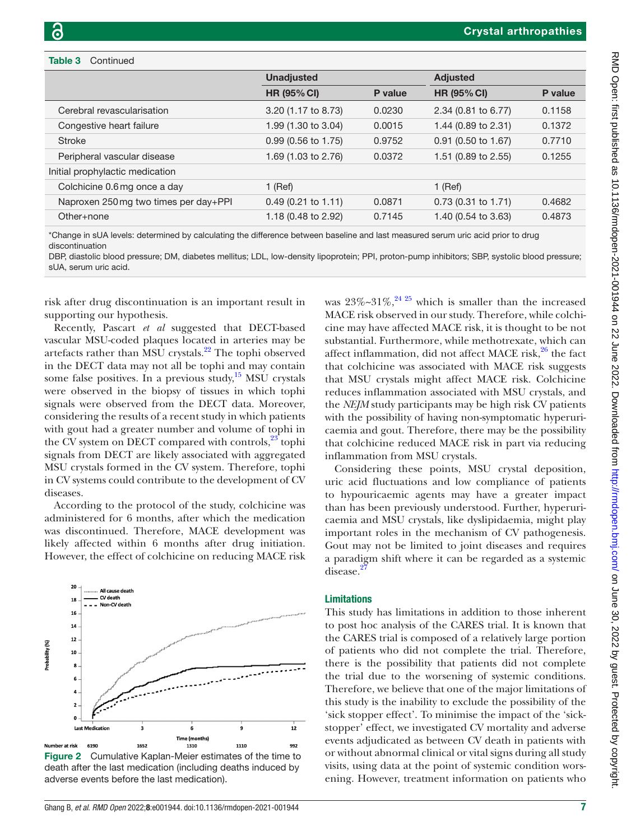#### Table 3 Continued

|                                       | <b>Unadjusted</b>             |         | <b>Adjusted</b>       |         |  |
|---------------------------------------|-------------------------------|---------|-----------------------|---------|--|
|                                       | <b>HR (95% CI)</b>            | P value | <b>HR (95% CI)</b>    | P value |  |
| Cerebral revascularisation            | 3.20 (1.17 to 8.73)           | 0.0230  | 2.34 (0.81 to 6.77)   | 0.1158  |  |
| Congestive heart failure              | 1.99 (1.30 to 3.04)           | 0.0015  | 1.44 (0.89 to 2.31)   | 0.1372  |  |
| <b>Stroke</b>                         | $0.99(0.56 \text{ to } 1.75)$ | 0.9752  | $0.91$ (0.50 to 1.67) | 0.7710  |  |
| Peripheral vascular disease           | 1.69 (1.03 to 2.76)           | 0.0372  | 1.51 (0.89 to 2.55)   | 0.1255  |  |
| Initial prophylactic medication       |                               |         |                       |         |  |
| Colchicine 0.6 mg once a day          | 1 (Ref)                       |         | $1$ (Ref)             |         |  |
| Naproxen 250 mg two times per day+PPI | $0.49(0.21 \text{ to } 1.11)$ | 0.0871  | $0.73$ (0.31 to 1.71) | 0.4682  |  |
| Other+none                            | 1.18 (0.48 to 2.92)           | 0.7145  | 1.40 (0.54 to 3.63)   | 0.4873  |  |

\*Change in sUA levels: determined by calculating the difference between baseline and last measured serum uric acid prior to drug discontinuation

DBP, diastolic blood pressure; DM, diabetes mellitus; LDL, low-density lipoprotein; PPI, proton-pump inhibitors; SBP, systolic blood pressure; sUA, serum uric acid.

risk after drug discontinuation is an important result in supporting our hypothesis.

Recently, Pascart *et al* suggested that DECT-based vascular MSU-coded plaques located in arteries may be artefacts rather than MSU crystals.<sup>[22](#page-8-15)</sup> The tophi observed in the DECT data may not all be tophi and may contain some false positives. In a previous study, $15$  MSU crystals were observed in the biopsy of tissues in which tophi signals were observed from the DECT data. Moreover, considering the results of a recent study in which patients with gout had a greater number and volume of tophi in the CV system on DECT compared with controls, $^{23}$  $^{23}$  $^{23}$  tophi signals from DECT are likely associated with aggregated MSU crystals formed in the CV system. Therefore, tophi in CV systems could contribute to the development of CV diseases.

According to the protocol of the study, colchicine was administered for 6 months, after which the medication was discontinued. Therefore, MACE development was likely affected within 6 months after drug initiation. However, the effect of colchicine on reducing MACE risk



<span id="page-6-0"></span>Figure 2 Cumulative Kaplan-Meier estimates of the time to death after the last medication (including deaths induced by adverse events before the last medication).

was  $23\% \sim 31\%$ ,  $24\frac{25}{10}$  which is smaller than the increased MACE risk observed in our study. Therefore, while colchicine may have affected MACE risk, it is thought to be not substantial. Furthermore, while methotrexate, which can affect inflammation, did not affect MACE risk, $26$  the fact that colchicine was associated with MACE risk suggests that MSU crystals might affect MACE risk. Colchicine reduces inflammation associated with MSU crystals, and the *NEJM* study participants may be high risk CV patients with the possibility of having non-symptomatic hyperuricaemia and gout. Therefore, there may be the possibility that colchicine reduced MACE risk in part via reducing inflammation from MSU crystals.

Considering these points, MSU crystal deposition, uric acid fluctuations and low compliance of patients to hypouricaemic agents may have a greater impact than has been previously understood. Further, hyperuricaemia and MSU crystals, like dyslipidaemia, might play important roles in the mechanism of CV pathogenesis. Gout may not be limited to joint diseases and requires a paradigm shift where it can be regarded as a systemic disease.<sup>2</sup>

#### Limitations

This study has limitations in addition to those inherent to post hoc analysis of the CARES trial. It is known that the CARES trial is composed of a relatively large portion of patients who did not complete the trial. Therefore, there is the possibility that patients did not complete the trial due to the worsening of systemic conditions. Therefore, we believe that one of the major limitations of this study is the inability to exclude the possibility of the 'sick stopper effect'. To minimise the impact of the 'sickstopper' effect, we investigated CV mortality and adverse events adjudicated as between CV death in patients with or without abnormal clinical or vital signs during all study visits, using data at the point of systemic condition worsening. However, treatment information on patients who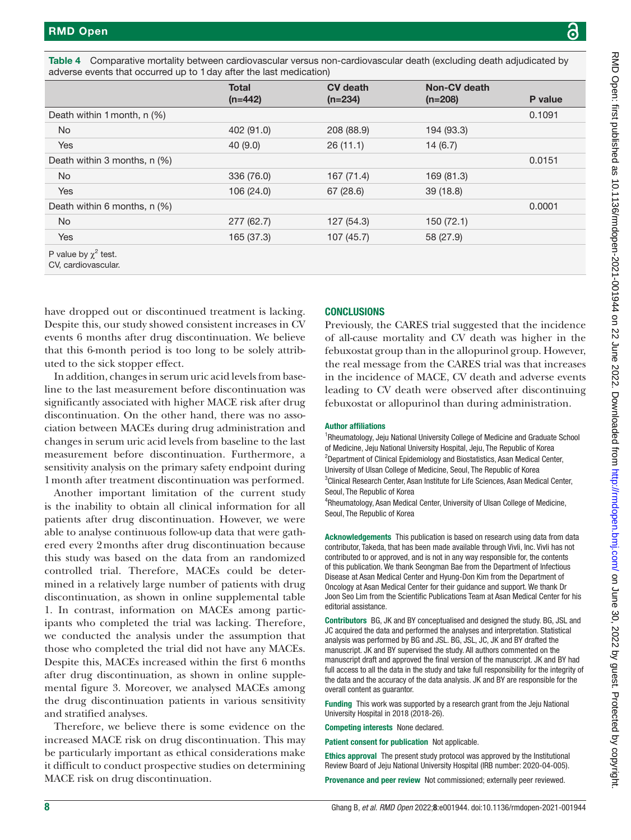P value

|                                                                                                                                                                                 | $(n=442)$  | $(n=234)$                                                                                                                                                                                                                                                                                                                                                                                                                                                                                         | $(n=208)$  | P valu |
|---------------------------------------------------------------------------------------------------------------------------------------------------------------------------------|------------|---------------------------------------------------------------------------------------------------------------------------------------------------------------------------------------------------------------------------------------------------------------------------------------------------------------------------------------------------------------------------------------------------------------------------------------------------------------------------------------------------|------------|--------|
| Death within 1 month, n (%)                                                                                                                                                     |            |                                                                                                                                                                                                                                                                                                                                                                                                                                                                                                   |            | 0.1091 |
| No                                                                                                                                                                              | 402 (91.0) | 208 (88.9)                                                                                                                                                                                                                                                                                                                                                                                                                                                                                        | 194 (93.3) |        |
| Yes                                                                                                                                                                             | 40(9.0)    | 26(11.1)                                                                                                                                                                                                                                                                                                                                                                                                                                                                                          | 14(6.7)    |        |
| Death within 3 months, n (%)                                                                                                                                                    |            |                                                                                                                                                                                                                                                                                                                                                                                                                                                                                                   |            | 0.0151 |
| No                                                                                                                                                                              | 336 (76.0) | 167 (71.4)                                                                                                                                                                                                                                                                                                                                                                                                                                                                                        | 169 (81.3) |        |
| Yes                                                                                                                                                                             | 106 (24.0) | 67 (28.6)                                                                                                                                                                                                                                                                                                                                                                                                                                                                                         | 39 (18.8)  |        |
| Death within 6 months, $n$ (%)                                                                                                                                                  |            |                                                                                                                                                                                                                                                                                                                                                                                                                                                                                                   |            | 0.0001 |
| No.                                                                                                                                                                             | 277 (62.7) | 127 (54.3)                                                                                                                                                                                                                                                                                                                                                                                                                                                                                        | 150 (72.1) |        |
| Yes                                                                                                                                                                             | 165 (37.3) | 107(45.7)                                                                                                                                                                                                                                                                                                                                                                                                                                                                                         | 58 (27.9)  |        |
| P value by $\chi^2$ test.<br>CV, cardiovascular.                                                                                                                                |            |                                                                                                                                                                                                                                                                                                                                                                                                                                                                                                   |            |        |
| ave dropped out or discontinued treatment is lacking.                                                                                                                           |            | <b>CONCLUSIONS</b>                                                                                                                                                                                                                                                                                                                                                                                                                                                                                |            |        |
| Despite this, our study showed consistent increases in CV<br>events 6 months after drug discontinuation. We believe<br>hat this 6-month period is too long to be solely attrib- |            | Previously, the CARES trial suggested that the inci<br>of all-cause mortality and CV death was higher<br>febuxostat group than in the allopurinol group. Ho<br>$\mathbf{1}$ $\mathbf{1}$ $\mathbf{1}$ $\mathbf{1}$ $\mathbf{1}$ $\mathbf{1}$ $\mathbf{1}$ $\mathbf{1}$ $\mathbf{1}$ $\mathbf{1}$ $\mathbf{1}$ $\mathbf{1}$ $\mathbf{1}$ $\mathbf{1}$ $\mathbf{1}$ $\mathbf{1}$ $\mathbf{1}$ $\mathbf{1}$ $\mathbf{1}$ $\mathbf{1}$ $\mathbf{1}$ $\mathbf{1}$ $\mathbf{1}$ $\mathbf{1}$ $\mathbf{$ |            |        |

<span id="page-7-0"></span>Table 4 Comparative mortality between cardiovascular versus non-cardiovascular death (excluding death adjudicated by adverse events that occurred up to 1day after the last medication)

CV death

**Total** 

have dropped out or dis Despite this, our study showed events 6 months after dithat this 6-month period uted to the sick stopper effect.

In addition, changes in serum uric acid levels from baseline to the last measurement before discontinuation was significantly associated with higher MACE risk after drug discontinuation. On the other hand, there was no association between MACEs during drug administration and changes in serum uric acid levels from baseline to the last measurement before discontinuation. Furthermore, a sensitivity analysis on the primary safety endpoint during 1month after treatment discontinuation was performed.

Another important limitation of the current study is the inability to obtain all clinical information for all patients after drug discontinuation. However, we were able to analyse continuous follow-up data that were gathered every 2months after drug discontinuation because this study was based on the data from an randomized controlled trial. Therefore, MACEs could be determined in a relatively large number of patients with drug discontinuation, as shown in [online supplemental table](https://dx.doi.org/10.1136/rmdopen-2021-001944) [1](https://dx.doi.org/10.1136/rmdopen-2021-001944). In contrast, information on MACEs among participants who completed the trial was lacking. Therefore, we conducted the analysis under the assumption that those who completed the trial did not have any MACEs. Despite this, MACEs increased within the first 6 months after drug discontinuation, as shown in [online supple](https://dx.doi.org/10.1136/rmdopen-2021-001944)[mental figure 3](https://dx.doi.org/10.1136/rmdopen-2021-001944). Moreover, we analysed MACEs among the drug discontinuation patients in various sensitivity and stratified analyses.

Therefore, we believe there is some evidence on the increased MACE risk on drug discontinuation. This may be particularly important as ethical considerations make it difficult to conduct prospective studies on determining MACE risk on drug discontinuation.

aggested that the incidence V death was higher in the allopurinol group. However, the real message from the CARES trial was that increases in the incidence of MACE, CV death and adverse events leading to CV death were observed after discontinuing febuxostat or allopurinol than during administration.

Non-CV death

#### Author affiliations

<sup>1</sup>Rheumatology, Jeju National University College of Medicine and Graduate School of Medicine, Jeju National University Hospital, Jeju, The Republic of Korea <sup>2</sup>Department of Clinical Epidemiology and Biostatistics, Asan Medical Center, University of Ulsan College of Medicine, Seoul, The Republic of Korea <sup>3</sup>Clinical Research Center, Asan Institute for Life Sciences, Asan Medical Center, Seoul, The Republic of Korea

4 Rheumatology, Asan Medical Center, University of Ulsan College of Medicine, Seoul, The Republic of Korea

Acknowledgements This publication is based on research using data from data contributor, Takeda, that has been made available through Vivli, Inc. Vivli has not contributed to or approved, and is not in any way responsible for, the contents of this publication. We thank Seongman Bae from the Department of Infectious Disease at Asan Medical Center and Hyung-Don Kim from the Department of Oncology at Asan Medical Center for their guidance and support. We thank Dr Joon Seo Lim from the Scientific Publications Team at Asan Medical Center for his editorial assistance.

Contributors BG, JK and BY conceptualised and designed the study. BG, JSL and JC acquired the data and performed the analyses and interpretation. Statistical analysis was performed by BG and JSL. BG, JSL, JC, JK and BY drafted the manuscript. JK and BY supervised the study. All authors commented on the manuscript draft and approved the final version of the manuscript. JK and BY had full access to all the data in the study and take full responsibility for the integrity of the data and the accuracy of the data analysis. JK and BY are responsible for the overall content as guarantor.

Funding This work was supported by a research grant from the Jeju National University Hospital in 2018 (2018-26).

Competing interests None declared.

Patient consent for publication Not applicable.

Ethics approval The present study protocol was approved by the Institutional Review Board of Jeju National University Hospital (IRB number: 2020-04-005).

Provenance and peer review Not commissioned; externally peer reviewed.